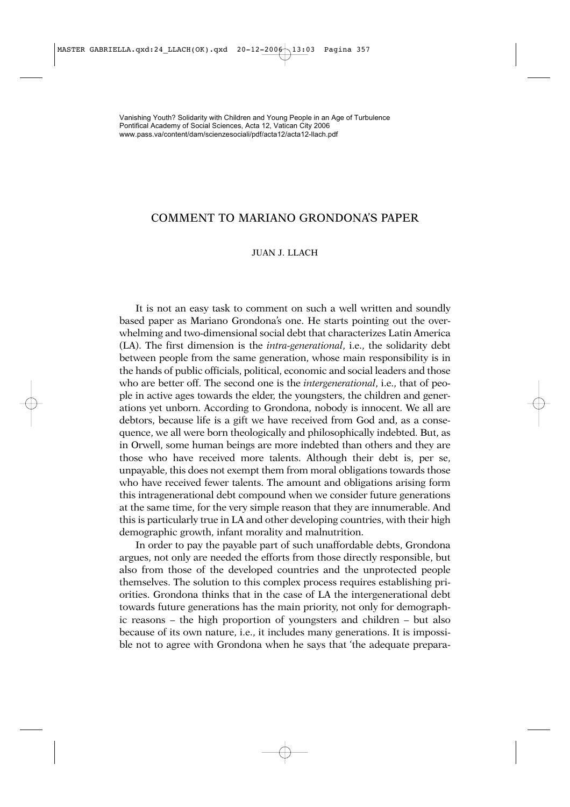# COMMENT TO MARIANO GRONDONA'S PAPER

# JUAN J. LLACH

It is not an easy task to comment on such a well written and soundly based paper as Mariano Grondona's one. He starts pointing out the overwhelming and two-dimensional social debt that characterizes Latin America (LA). The first dimension is the *intra-generational*, i.e., the solidarity debt between people from the same generation, whose main responsibility is in the hands of public officials, political, economic and social leaders and those who are better off. The second one is the *intergenerational*, i.e., that of people in active ages towards the elder, the youngsters, the children and generations yet unborn. According to Grondona, nobody is innocent. We all are debtors, because life is a gift we have received from God and, as a consequence, we all were born theologically and philosophically indebted. But, as in Orwell, some human beings are more indebted than others and they are those who have received more talents. Although their debt is, per se, unpayable, this does not exempt them from moral obligations towards those who have received fewer talents. The amount and obligations arising form this intragenerational debt compound when we consider future generations at the same time, for the very simple reason that they are innumerable. And this is particularly true in LA and other developing countries, with their high demographic growth, infant morality and malnutrition.

In order to pay the payable part of such unaffordable debts, Grondona argues, not only are needed the efforts from those directly responsible, but also from those of the developed countries and the unprotected people themselves. The solution to this complex process requires establishing priorities. Grondona thinks that in the case of LA the intergenerational debt towards future generations has the main priority, not only for demographic reasons – the high proportion of youngsters and children – but also because of its own nature, i.e., it includes many generations. It is impossible not to agree with Grondona when he says that 'the adequate prepara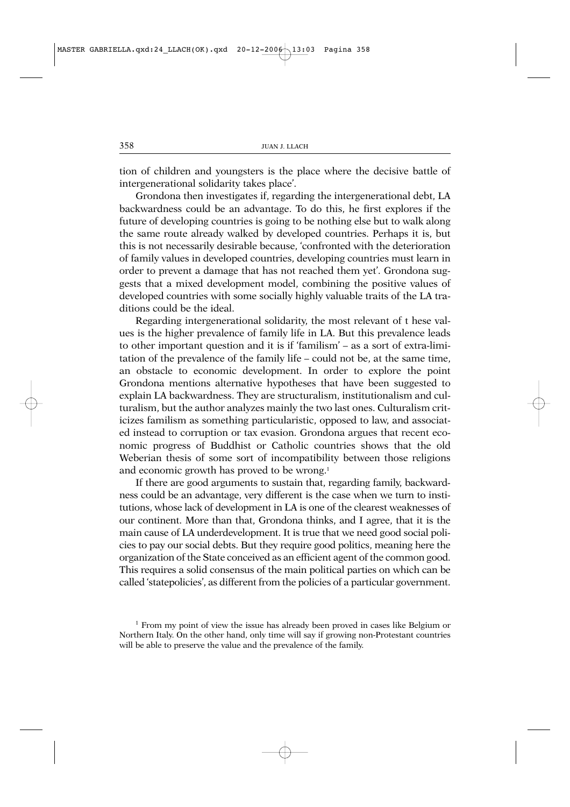tion of children and youngsters is the place where the decisive battle of intergenerational solidarity takes place'.

Grondona then investigates if, regarding the intergenerational debt, LA backwardness could be an advantage. To do this, he first explores if the future of developing countries is going to be nothing else but to walk along the same route already walked by developed countries. Perhaps it is, but this is not necessarily desirable because, 'confronted with the deterioration of family values in developed countries, developing countries must learn in order to prevent a damage that has not reached them yet'. Grondona suggests that a mixed development model, combining the positive values of developed countries with some socially highly valuable traits of the LA traditions could be the ideal.

Regarding intergenerational solidarity, the most relevant of t hese values is the higher prevalence of family life in LA. But this prevalence leads to other important question and it is if 'familism' – as a sort of extra-limitation of the prevalence of the family life – could not be, at the same time, an obstacle to economic development. In order to explore the point Grondona mentions alternative hypotheses that have been suggested to explain LA backwardness. They are structuralism, institutionalism and culturalism, but the author analyzes mainly the two last ones. Culturalism criticizes familism as something particularistic, opposed to law, and associated instead to corruption or tax evasion. Grondona argues that recent economic progress of Buddhist or Catholic countries shows that the old Weberian thesis of some sort of incompatibility between those religions and economic growth has proved to be wrong.1

If there are good arguments to sustain that, regarding family, backwardness could be an advantage, very different is the case when we turn to institutions, whose lack of development in LA is one of the clearest weaknesses of our continent. More than that, Grondona thinks, and I agree, that it is the main cause of LA underdevelopment. It is true that we need good social policies to pay our social debts. But they require good politics, meaning here the organization of the State conceived as an efficient agent of the common good. This requires a solid consensus of the main political parties on which can be called 'statepolicies', as different from the policies of a particular government.

<sup>1</sup> From my point of view the issue has already been proved in cases like Belgium or Northern Italy. On the other hand, only time will say if growing non-Protestant countries will be able to preserve the value and the prevalence of the family.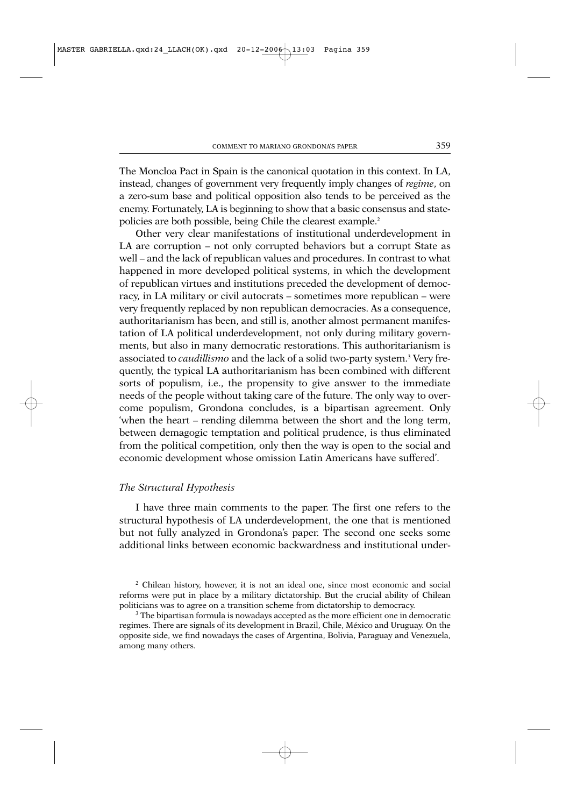The Moncloa Pact in Spain is the canonical quotation in this context. In LA, instead, changes of government very frequently imply changes of *regime*, on a zero-sum base and political opposition also tends to be perceived as the enemy. Fortunately, LA is beginning to show that a basic consensus and statepolicies are both possible, being Chile the clearest example.2

Other very clear manifestations of institutional underdevelopment in LA are corruption – not only corrupted behaviors but a corrupt State as well – and the lack of republican values and procedures. In contrast to what happened in more developed political systems, in which the development of republican virtues and institutions preceded the development of democracy, in LA military or civil autocrats – sometimes more republican – were very frequently replaced by non republican democracies. As a consequence, authoritarianism has been, and still is, another almost permanent manifestation of LA political underdevelopment, not only during military governments, but also in many democratic restorations. This authoritarianism is associated to *caudillismo* and the lack of a solid two-party system.<sup>3</sup> Very frequently, the typical LA authoritarianism has been combined with different sorts of populism, i.e., the propensity to give answer to the immediate needs of the people without taking care of the future. The only way to overcome populism, Grondona concludes, is a bipartisan agreement. Only 'when the heart – rending dilemma between the short and the long term, between demagogic temptation and political prudence, is thus eliminated from the political competition, only then the way is open to the social and economic development whose omission Latin Americans have suffered'.

### *The Structural Hypothesis*

I have three main comments to the paper. The first one refers to the structural hypothesis of LA underdevelopment, the one that is mentioned but not fully analyzed in Grondona's paper. The second one seeks some additional links between economic backwardness and institutional under-

<sup>2</sup> Chilean history, however, it is not an ideal one, since most economic and social reforms were put in place by a military dictatorship. But the crucial ability of Chilean politicians was to agree on a transition scheme from dictatorship to democracy.

<sup>&</sup>lt;sup>3</sup> The bipartisan formula is nowadays accepted as the more efficient one in democratic regimes. There are signals of its development in Brazil, Chile, México and Uruguay. On the opposite side, we find nowadays the cases of Argentina, Bolivia, Paraguay and Venezuela, among many others.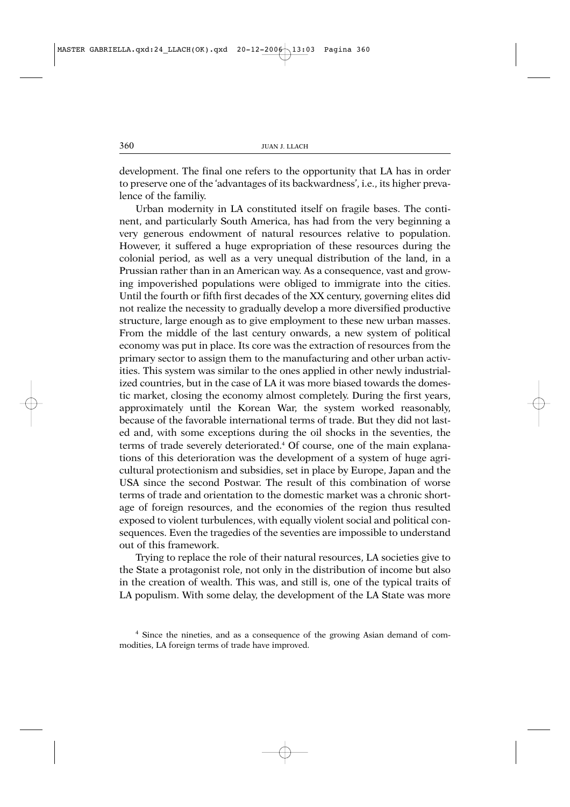development. The final one refers to the opportunity that LA has in order to preserve one of the 'advantages of its backwardness', i.e., its higher prevalence of the familiy.

Urban modernity in LA constituted itself on fragile bases. The continent, and particularly South America, has had from the very beginning a very generous endowment of natural resources relative to population. However, it suffered a huge expropriation of these resources during the colonial period, as well as a very unequal distribution of the land, in a Prussian rather than in an American way. As a consequence, vast and growing impoverished populations were obliged to immigrate into the cities. Until the fourth or fifth first decades of the XX century, governing elites did not realize the necessity to gradually develop a more diversified productive structure, large enough as to give employment to these new urban masses. From the middle of the last century onwards, a new system of political economy was put in place. Its core was the extraction of resources from the primary sector to assign them to the manufacturing and other urban activities. This system was similar to the ones applied in other newly industrialized countries, but in the case of LA it was more biased towards the domestic market, closing the economy almost completely. During the first years, approximately until the Korean War, the system worked reasonably, because of the favorable international terms of trade. But they did not lasted and, with some exceptions during the oil shocks in the seventies, the terms of trade severely deteriorated.4 Of course, one of the main explanations of this deterioration was the development of a system of huge agricultural protectionism and subsidies, set in place by Europe, Japan and the USA since the second Postwar. The result of this combination of worse terms of trade and orientation to the domestic market was a chronic shortage of foreign resources, and the economies of the region thus resulted exposed to violent turbulences, with equally violent social and political consequences. Even the tragedies of the seventies are impossible to understand out of this framework.

Trying to replace the role of their natural resources, LA societies give to the State a protagonist role, not only in the distribution of income but also in the creation of wealth. This was, and still is, one of the typical traits of LA populism. With some delay, the development of the LA State was more

<sup>4</sup> Since the nineties, and as a consequence of the growing Asian demand of commodities, LA foreign terms of trade have improved.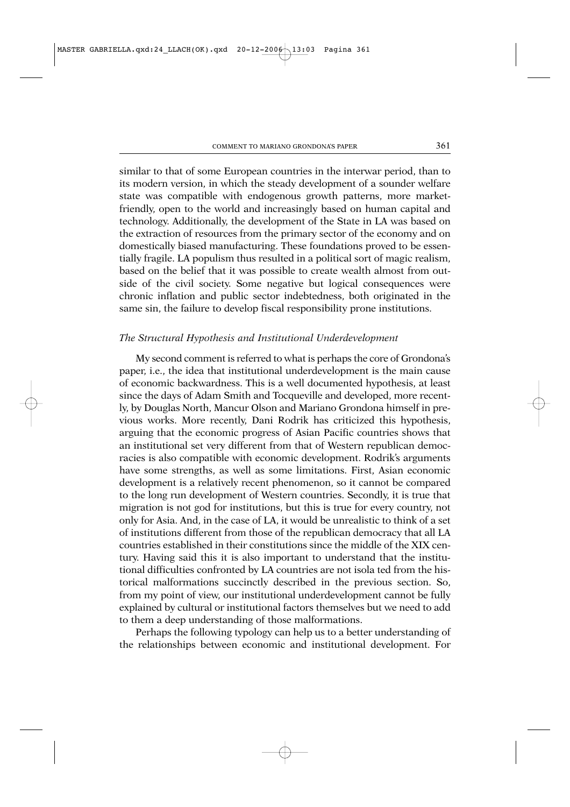similar to that of some European countries in the interwar period, than to its modern version, in which the steady development of a sounder welfare state was compatible with endogenous growth patterns, more marketfriendly, open to the world and increasingly based on human capital and technology. Additionally, the development of the State in LA was based on the extraction of resources from the primary sector of the economy and on domestically biased manufacturing. These foundations proved to be essentially fragile. LA populism thus resulted in a political sort of magic realism, based on the belief that it was possible to create wealth almost from outside of the civil society. Some negative but logical consequences were chronic inflation and public sector indebtedness, both originated in the same sin, the failure to develop fiscal responsibility prone institutions.

### *The Structural Hypothesis and Institutional Underdevelopment*

My second comment is referred to what is perhaps the core of Grondona's paper, i.e., the idea that institutional underdevelopment is the main cause of economic backwardness. This is a well documented hypothesis, at least since the days of Adam Smith and Tocqueville and developed, more recently, by Douglas North, Mancur Olson and Mariano Grondona himself in previous works. More recently, Dani Rodrik has criticized this hypothesis, arguing that the economic progress of Asian Pacific countries shows that an institutional set very different from that of Western republican democracies is also compatible with economic development. Rodrik's arguments have some strengths, as well as some limitations. First, Asian economic development is a relatively recent phenomenon, so it cannot be compared to the long run development of Western countries. Secondly, it is true that migration is not god for institutions, but this is true for every country, not only for Asia. And, in the case of LA, it would be unrealistic to think of a set of institutions different from those of the republican democracy that all LA countries established in their constitutions since the middle of the XIX century. Having said this it is also important to understand that the institutional difficulties confronted by LA countries are not isola ted from the historical malformations succinctly described in the previous section. So, from my point of view, our institutional underdevelopment cannot be fully explained by cultural or institutional factors themselves but we need to add to them a deep understanding of those malformations.

Perhaps the following typology can help us to a better understanding of the relationships between economic and institutional development. For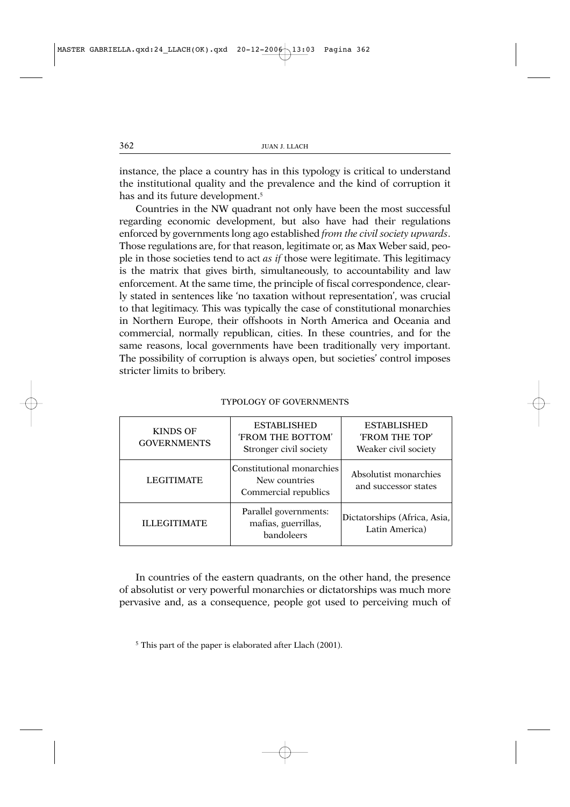instance, the place a country has in this typology is critical to understand the institutional quality and the prevalence and the kind of corruption it has and its future development.<sup>5</sup>

Countries in the NW quadrant not only have been the most successful regarding economic development, but also have had their regulations enforced by governments long ago established *from the civil society upwards*. Those regulations are, for that reason, legitimate or, as Max Weber said, people in those societies tend to act *as if* those were legitimate. This legitimacy is the matrix that gives birth, simultaneously, to accountability and law enforcement. At the same time, the principle of fiscal correspondence, clearly stated in sentences like 'no taxation without representation', was crucial to that legitimacy. This was typically the case of constitutional monarchies in Northern Europe, their offshoots in North America and Oceania and commercial, normally republican, cities. In these countries, and for the same reasons, local governments have been traditionally very important. The possibility of corruption is always open, but societies' control imposes stricter limits to bribery.

| <b>KINDS OF</b><br><b>GOVERNMENTS</b> | <b>ESTABLISHED</b><br><b>'FROM THE BOTTOM'</b><br>Stronger civil society | <b>ESTABLISHED</b><br>'FROM THE TOP'<br>Weaker civil society |
|---------------------------------------|--------------------------------------------------------------------------|--------------------------------------------------------------|
| <b>LEGITIMATE</b>                     | Constitutional monarchies<br>New countries<br>Commercial republics       | Absolutist monarchies<br>and successor states                |
| <b>ILLEGITIMATE</b>                   | Parallel governments:<br>mafias, guerrillas,<br>bandoleers               | Dictatorships (Africa, Asia,<br>Latin America)               |

#### TYPOLOGY OF GOVERNMENTS

In countries of the eastern quadrants, on the other hand, the presence of absolutist or very powerful monarchies or dictatorships was much more pervasive and, as a consequence, people got used to perceiving much of

<sup>5</sup> This part of the paper is elaborated after Llach (2001).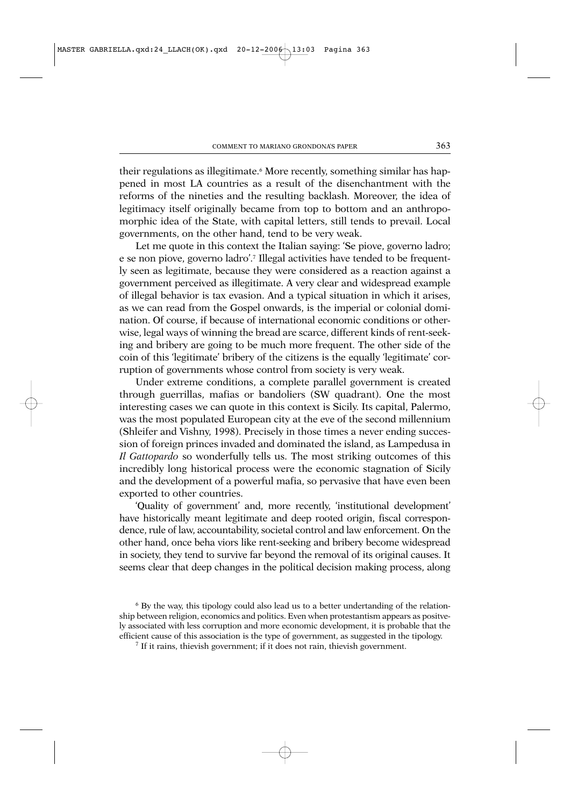their regulations as illegitimate.<sup>6</sup> More recently, something similar has happened in most LA countries as a result of the disenchantment with the reforms of the nineties and the resulting backlash. Moreover, the idea of legitimacy itself originally became from top to bottom and an anthropomorphic idea of the State, with capital letters, still tends to prevail. Local governments, on the other hand, tend to be very weak.

Let me quote in this context the Italian saying: 'Se piove, governo ladro; e se non piove, governo ladro'.7 Illegal activities have tended to be frequently seen as legitimate, because they were considered as a reaction against a government perceived as illegitimate. A very clear and widespread example of illegal behavior is tax evasion. And a typical situation in which it arises, as we can read from the Gospel onwards, is the imperial or colonial domination. Of course, if because of international economic conditions or otherwise, legal ways of winning the bread are scarce, different kinds of rent-seeking and bribery are going to be much more frequent. The other side of the coin of this 'legitimate' bribery of the citizens is the equally 'legitimate' corruption of governments whose control from society is very weak.

Under extreme conditions, a complete parallel government is created through guerrillas, mafias or bandoliers (SW quadrant). One the most interesting cases we can quote in this context is Sicily. Its capital, Palermo, was the most populated European city at the eve of the second millennium (Shleifer and Vishny, 1998). Precisely in those times a never ending succession of foreign princes invaded and dominated the island, as Lampedusa in *Il Gattopardo* so wonderfully tells us. The most striking outcomes of this incredibly long historical process were the economic stagnation of Sicily and the development of a powerful mafia, so pervasive that have even been exported to other countries.

'Quality of government' and, more recently, 'institutional development' have historically meant legitimate and deep rooted origin, fiscal correspondence, rule of law, accountability, societal control and law enforcement. On the other hand, once beha viors like rent-seeking and bribery become widespread in society, they tend to survive far beyond the removal of its original causes. It seems clear that deep changes in the political decision making process, along

<sup>6</sup> By the way, this tipology could also lead us to a better undertanding of the relationship between religion, economics and politics. Even when protestantism appears as positvely associated with less corruption and more economic development, it is probable that the efficient cause of this association is the type of government, as suggested in the tipology.

<sup>7</sup> If it rains, thievish government; if it does not rain, thievish government.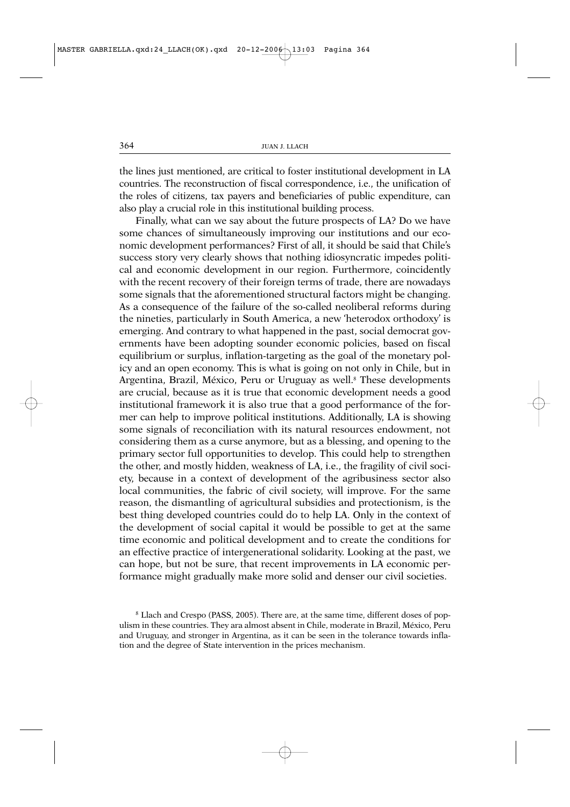the lines just mentioned, are critical to foster institutional development in LA countries. The reconstruction of fiscal correspondence, i.e., the unification of the roles of citizens, tax payers and beneficiaries of public expenditure, can also play a crucial role in this institutional building process.

Finally, what can we say about the future prospects of LA? Do we have some chances of simultaneously improving our institutions and our economic development performances? First of all, it should be said that Chile's success story very clearly shows that nothing idiosyncratic impedes political and economic development in our region. Furthermore, coincidently with the recent recovery of their foreign terms of trade, there are nowadays some signals that the aforementioned structural factors might be changing. As a consequence of the failure of the so-called neoliberal reforms during the nineties, particularly in South America, a new 'heterodox orthodoxy' is emerging. And contrary to what happened in the past, social democrat governments have been adopting sounder economic policies, based on fiscal equilibrium or surplus, inflation-targeting as the goal of the monetary policy and an open economy. This is what is going on not only in Chile, but in Argentina, Brazil, México, Peru or Uruguay as well.<sup>8</sup> These developments are crucial, because as it is true that economic development needs a good institutional framework it is also true that a good performance of the former can help to improve political institutions. Additionally, LA is showing some signals of reconciliation with its natural resources endowment, not considering them as a curse anymore, but as a blessing, and opening to the primary sector full opportunities to develop. This could help to strengthen the other, and mostly hidden, weakness of LA, i.e., the fragility of civil society, because in a context of development of the agribusiness sector also local communities, the fabric of civil society, will improve. For the same reason, the dismantling of agricultural subsidies and protectionism, is the best thing developed countries could do to help LA. Only in the context of the development of social capital it would be possible to get at the same time economic and political development and to create the conditions for an effective practice of intergenerational solidarity. Looking at the past, we can hope, but not be sure, that recent improvements in LA economic performance might gradually make more solid and denser our civil societies.

<sup>8</sup> Llach and Crespo (PASS, 2005). There are, at the same time, different doses of populism in these countries. They ara almost absent in Chile, moderate in Brazil, México, Peru and Uruguay, and stronger in Argentina, as it can be seen in the tolerance towards inflation and the degree of State intervention in the prices mechanism.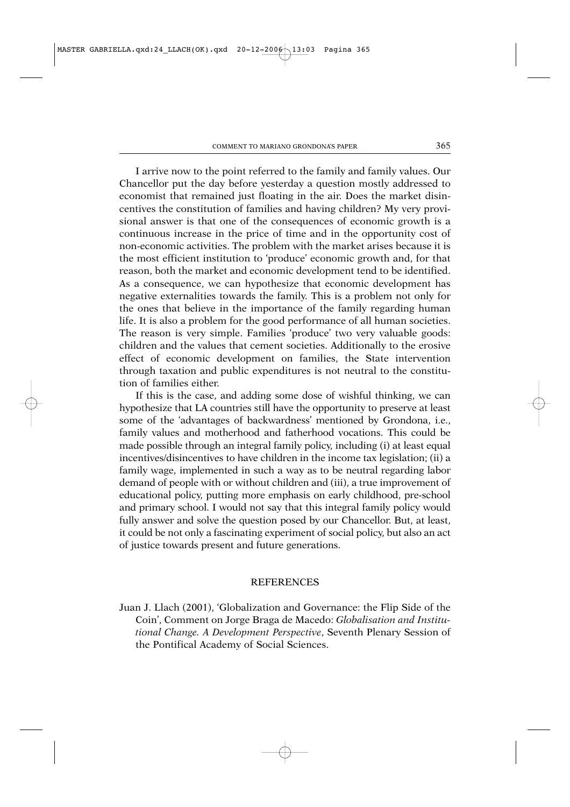I arrive now to the point referred to the family and family values. Our Chancellor put the day before yesterday a question mostly addressed to economist that remained just floating in the air. Does the market disincentives the constitution of families and having children? My very provisional answer is that one of the consequences of economic growth is a continuous increase in the price of time and in the opportunity cost of non-economic activities. The problem with the market arises because it is the most efficient institution to 'produce' economic growth and, for that reason, both the market and economic development tend to be identified. As a consequence, we can hypothesize that economic development has negative externalities towards the family. This is a problem not only for the ones that believe in the importance of the family regarding human life. It is also a problem for the good performance of all human societies. The reason is very simple. Families 'produce' two very valuable goods: children and the values that cement societies. Additionally to the erosive effect of economic development on families, the State intervention through taxation and public expenditures is not neutral to the constitution of families either.

If this is the case, and adding some dose of wishful thinking, we can hypothesize that LA countries still have the opportunity to preserve at least some of the 'advantages of backwardness' mentioned by Grondona, i.e., family values and motherhood and fatherhood vocations. This could be made possible through an integral family policy, including (i) at least equal incentives/disincentives to have children in the income tax legislation; (ii) a family wage, implemented in such a way as to be neutral regarding labor demand of people with or without children and (iii), a true improvement of educational policy, putting more emphasis on early childhood, pre-school and primary school. I would not say that this integral family policy would fully answer and solve the question posed by our Chancellor. But, at least, it could be not only a fascinating experiment of social policy, but also an act of justice towards present and future generations.

# **REFERENCES**

Juan J. Llach (2001), 'Globalization and Governance: the Flip Side of the Coin', Comment on Jorge Braga de Macedo: *Globalisation and Institutional Change. A Development Perspective*, Seventh Plenary Session of the Pontifical Academy of Social Sciences.